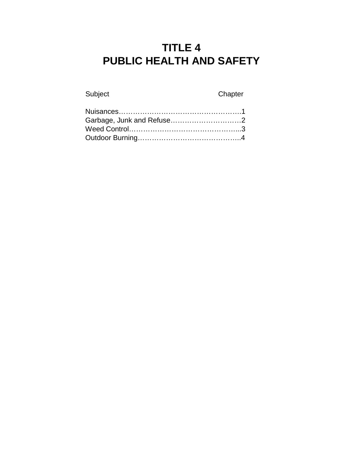# **TITLE 4 PUBLIC HEALTH AND SAFETY**

Subject Chapter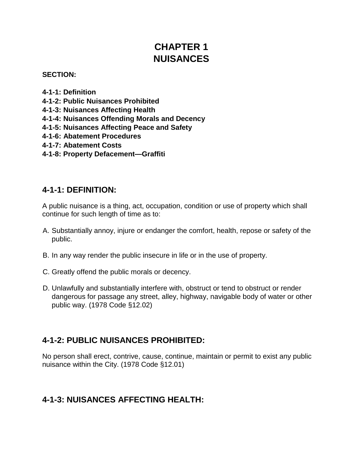# **CHAPTER 1 NUISANCES**

#### **SECTION:**

- **4-1-1: Definition**
- **4-1-2: Public Nuisances Prohibited**
- **4-1-3: Nuisances Affecting Health**
- **4-1-4: Nuisances Offending Morals and Decency**
- **4-1-5: Nuisances Affecting Peace and Safety**
- **4-1-6: Abatement Procedures**
- **4-1-7: Abatement Costs**
- **4-1-8: Property Defacement—Graffiti**

### **4-1-1: DEFINITION:**

A public nuisance is a thing, act, occupation, condition or use of property which shall continue for such length of time as to:

- A. Substantially annoy, injure or endanger the comfort, health, repose or safety of the public.
- B. In any way render the public insecure in life or in the use of property.
- C. Greatly offend the public morals or decency.
- D. Unlawfully and substantially interfere with, obstruct or tend to obstruct or render dangerous for passage any street, alley, highway, navigable body of water or other public way. (1978 Code §12.02)

### **4-1-2: PUBLIC NUISANCES PROHIBITED:**

No person shall erect, contrive, cause, continue, maintain or permit to exist any public nuisance within the City. (1978 Code §12.01)

### **4-1-3: NUISANCES AFFECTING HEALTH:**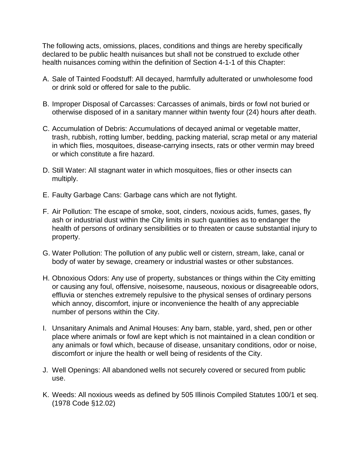The following acts, omissions, places, conditions and things are hereby specifically declared to be public health nuisances but shall not be construed to exclude other health nuisances coming within the definition of Secti[on 4-1-1 of](http://www.sterlingcodifiers.com/IL/Genoa/07001000000001000.htm#4-1-1) this Chapter:

- A. Sale of Tainted Foodstuff: All decayed, harmfully adulterated or unwholesome food or drink sold or offered for sale to the public.
- B. Improper Disposal of Carcasses: Carcasses of animals, birds or fowl not buried or otherwise disposed of in a sanitary manner within twenty four (24) hours after death.
- C. Accumulation of Debris: Accumulations of decayed animal or vegetable matter, trash, rubbish, rotting lumber, bedding, packing material, scrap metal or any material in which flies, mosquitoes, disease-carrying insects, rats or other vermin may breed or which constitute a fire hazard.
- D. Still Water: All stagnant water in which mosquitoes, flies or other insects can multiply.
- E. Faulty Garbage Cans: Garbage cans which are not flytight.
- F. Air Pollution: The escape of smoke, soot, cinders, noxious acids, fumes, gases, fly ash or industrial dust within the City limits in such quantities as to endanger the health of persons of ordinary sensibilities or to threaten or cause substantial injury to property.
- G. Water Pollution: The pollution of any public well or cistern, stream, lake, canal or body of water by sewage, creamery or industrial wastes or other substances.
- H. Obnoxious Odors: Any use of property, substances or things within the City emitting or causing any foul, offensive, noisesome, nauseous, noxious or disagreeable odors, effluvia or stenches extremely repulsive to the physical senses of ordinary persons which annoy, discomfort, injure or inconvenience the health of any appreciable number of persons within the City.
- I. Unsanitary Animals and Animal Houses: Any barn, stable, yard, shed, pen or other place where animals or fowl are kept which is not maintained in a clean condition or any animals or fowl which, because of disease, unsanitary conditions, odor or noise, discomfort or injure the health or well being of residents of the City.
- J. Well Openings: All abandoned wells not securely covered or secured from public use.
- K. Weeds: All noxious weeds as defined by 505 Illinois Compiled Statutes 100/1 et seq. (1978 Code §12.02)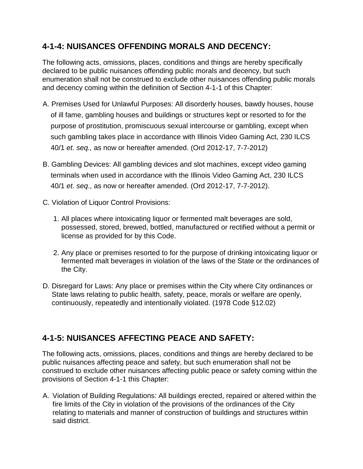# **4-1-4: NUISANCES OFFENDING MORALS AND DECENCY:**

The following acts, omissions, places, conditions and things are hereby specifically declared to be public nuisances offending public morals and decency, but such enumeration shall not be construed to exclude other nuisances offending public morals and decency coming within the definition of Secti[on 4-1-1 of](http://www.sterlingcodifiers.com/IL/Genoa/07001000000001000.htm#4-1-1) this Chapter:

- A. Premises Used for Unlawful Purposes: All disorderly houses, bawdy houses, house of ill fame, gambling houses and buildings or structures kept or resorted to for the purpose of prostitution, promiscuous sexual intercourse or gambling, except when such gambling takes place in accordance with Illinois Video Gaming Act, 230 ILCS 40/1 *et. seq.,* as now or hereafter amended. (Ord 2012-17, 7-7-2012)
- B. Gambling Devices: All gambling devices and slot machines, except video gaming terminals when used in accordance with the Illinois Video Gaming Act, 230 ILCS 40/1 *et. seq*., as now or hereafter amended. (Ord 2012-17, 7-7-2012).
- C. Violation of Liquor Control Provisions:
	- 1. All places where intoxicating liquor or fermented malt beverages are sold, possessed, stored, brewed, bottled, manufactured or rectified without a permit or license as provided for by this Code.
	- 2. Any place or premises resorted to for the purpose of drinking intoxicating liquor or fermented malt beverages in violation of the laws of the State or the ordinances of the City.
- D. Disregard for Laws: Any place or premises within the City where City ordinances or State laws relating to public health, safety, peace, morals or welfare are openly, continuously, repeatedly and intentionally violated. (1978 Code §12.02)

# **4-1-5: NUISANCES AFFECTING PEACE AND SAFETY:**

The following acts, omissions, places, conditions and things are hereby declared to be public nuisances affecting peace and safety, but such enumeration shall not be construed to exclude other nuisances affecting public peace or safety coming within the provisions of Secti[on 4-1-1 th](http://www.sterlingcodifiers.com/IL/Genoa/07001000000001000.htm#4-1-1)is Chapter:

A. Violation of Building Regulations: All buildings erected, repaired or altered within the fire limits of the City in violation of the provisions of the ordinances of the City relating to materials and manner of construction of buildings and structures within said district.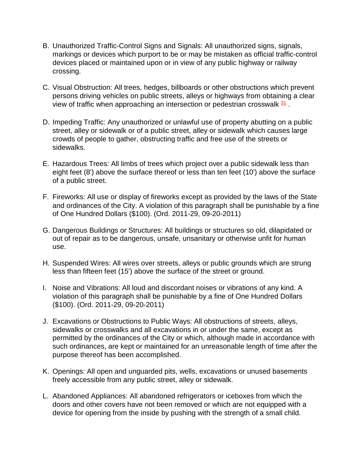- B. Unauthorized Traffic-Control Signs and Signals: All unauthorized signs, signals, markings or devices which purport to be or may be mistaken as official traffic-control devices placed or maintained upon or in view of any public highway or railway crossing.
- C. Visual Obstruction: All trees, hedges, billboards or other obstructions which prevent persons driving vehicles on public streets, alleys or highways from obtaining a clear view of traffic when approaching an intersection or pedestrian crosswalk  $\frac{31}{21}$ .
- D. Impeding Traffic: Any unauthorized or unlawful use of property abutting on a public street, alley or sidewalk or of a public street, alley or sidewalk which causes large crowds of people to gather, obstructing traffic and free use of the streets or sidewalks.
- E. Hazardous Trees: All limbs of trees which project over a public sidewalk less than eight feet (8') above the surface thereof or less than ten feet (10') above the surface of a public street.
- F. Fireworks: All use or display of fireworks except as provided by the laws of the State and ordinances of the City. A violation of this paragraph shall be punishable by a fine of One Hundred Dollars (\$100). (Ord. 2011-29, 09-20-2011)
- G. Dangerous Buildings or Structures: All buildings or structures so old, dilapidated or out of repair as to be dangerous, unsafe, unsanitary or otherwise unfit for human use.
- H. Suspended Wires: All wires over streets, alleys or public grounds which are strung less than fifteen feet (15') above the surface of the street or ground.
- I. Noise and Vibrations: All loud and discordant noises or vibrations of any kind. A violation of this paragraph shall be punishable by a fine of One Hundred Dollars (\$100). (Ord. 2011-29, 09-20-2011)
- J. Excavations or Obstructions to Public Ways: All obstructions of streets, alleys, sidewalks or crosswalks and all excavations in or under the same, except as permitted by the ordinances of the City or which, although made in accordance with such ordinances, are kept or maintained for an unreasonable length of time after the purpose thereof has been accomplished.
- K. Openings: All open and unguarded pits, wells, excavations or unused basements freely accessible from any public street, alley or sidewalk.
- L. Abandoned Appliances: All abandoned refrigerators or iceboxes from which the doors and other covers have not been removed or which are not equipped with a device for opening from the inside by pushing with the strength of a small child.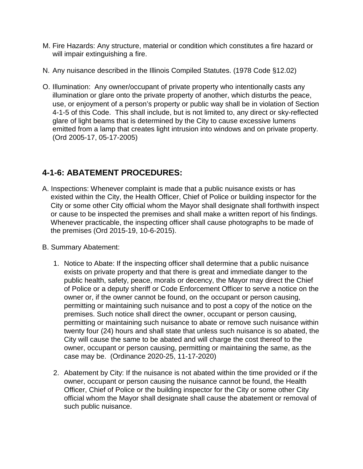- M. Fire Hazards: Any structure, material or condition which constitutes a fire hazard or will impair extinguishing a fire.
- N. Any nuisance described in the Illinois Compiled Statutes. (1978 Code §12.02)
- O. Illumination: Any owner/occupant of private property who intentionally casts any illumination or glare onto the private property of another, which disturbs the peace, use, or enjoyment of a person's property or public way shall be in violation of Section 4-1-5 of this Code. This shall include, but is not limited to, any direct or sky-reflected glare of light beams that is determined by the City to cause excessive lumens emitted from a lamp that creates light intrusion into windows and on private property. (Ord 2005-17, 05-17-2005)

## **4-1-6: ABATEMENT PROCEDURES:**

- A. Inspections: Whenever complaint is made that a public nuisance exists or has existed within the City, the Health Officer, Chief of Police or building inspector for the City or some other City official whom the Mayor shall designate shall forthwith inspect or cause to be inspected the premises and shall make a written report of his findings. Whenever practicable, the inspecting officer shall cause photographs to be made of the premises (Ord 2015-19, 10-6-2015).
- B. Summary Abatement:
	- 1. Notice to Abate: If the inspecting officer shall determine that a public nuisance exists on private property and that there is great and immediate danger to the public health, safety, peace, morals or decency, the Mayor may direct the Chief of Police or a deputy sheriff or Code Enforcement Officer to serve a notice on the owner or, if the owner cannot be found, on the occupant or person causing, permitting or maintaining such nuisance and to post a copy of the notice on the premises. Such notice shall direct the owner, occupant or person causing, permitting or maintaining such nuisance to abate or remove such nuisance within twenty four (24) hours and shall state that unless such nuisance is so abated, the City will cause the same to be abated and will charge the cost thereof to the owner, occupant or person causing, permitting or maintaining the same, as the case may be. (Ordinance 2020-25, 11-17-2020)
	- 2. Abatement by City: If the nuisance is not abated within the time provided or if the owner, occupant or person causing the nuisance cannot be found, the Health Officer, Chief of Police or the building inspector for the City or some other City official whom the Mayor shall designate shall cause the abatement or removal of such public nuisance.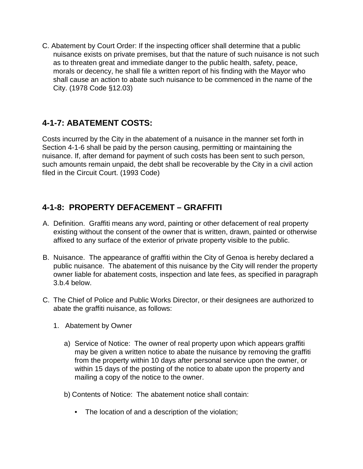C. Abatement by Court Order: If the inspecting officer shall determine that a public nuisance exists on private premises, but that the nature of such nuisance is not such as to threaten great and immediate danger to the public health, safety, peace, morals or decency, he shall file a written report of his finding with the Mayor who shall cause an action to abate such nuisance to be commenced in the name of the City. (1978 Code §12.03)

# **4-1-7: ABATEMENT COSTS:**

Costs incurred by the City in the abatement of a nuisance in the manner set forth in Secti[on 4-1-6 sh](http://www.sterlingcodifiers.com/IL/Genoa/07001000000006000.htm#4-1-6)all be paid by the person causing, permitting or maintaining the nuisance. If, after demand for payment of such costs has been sent to such person, such amounts remain unpaid, the debt shall be recoverable by the City in a civil action filed in the Circuit Court. (1993 Code)

## **4-1-8: PROPERTY DEFACEMENT – GRAFFITI**

- A. Definition. Graffiti means any word, painting or other defacement of real property existing without the consent of the owner that is written, drawn, painted or otherwise affixed to any surface of the exterior of private property visible to the public.
- B. Nuisance. The appearance of graffiti within the City of Genoa is hereby declared a public nuisance. The abatement of this nuisance by the City will render the property owner liable for abatement costs, inspection and late fees, as specified in paragraph 3.b.4 below.
- C. The Chief of Police and Public Works Director, or their designees are authorized to abate the graffiti nuisance, as follows:
	- 1. Abatement by Owner
		- a) Service of Notice: The owner of real property upon which appears graffiti may be given a written notice to abate the nuisance by removing the graffiti from the property within 10 days after personal service upon the owner, or within 15 days of the posting of the notice to abate upon the property and mailing a copy of the notice to the owner.
		- b) Contents of Notice: The abatement notice shall contain:
			- The location of and a description of the violation;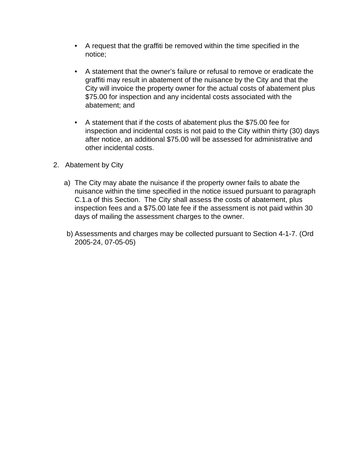- A request that the graffiti be removed within the time specified in the notice;
- A statement that the owner's failure or refusal to remove or eradicate the graffiti may result in abatement of the nuisance by the City and that the City will invoice the property owner for the actual costs of abatement plus \$75.00 for inspection and any incidental costs associated with the abatement; and
- A statement that if the costs of abatement plus the \$75.00 fee for inspection and incidental costs is not paid to the City within thirty (30) days after notice, an additional \$75.00 will be assessed for administrative and other incidental costs.
- 2. Abatement by City
	- a) The City may abate the nuisance if the property owner fails to abate the nuisance within the time specified in the notice issued pursuant to paragraph C.1.a of this Section. The City shall assess the costs of abatement, plus inspection fees and a \$75.00 late fee if the assessment is not paid within 30 days of mailing the assessment charges to the owner.
	- b) Assessments and charges may be collected pursuant to Section 4-1-7. (Ord 2005-24, 07-05-05)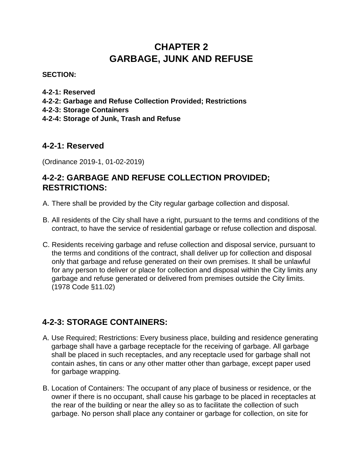# **CHAPTER 2 GARBAGE, JUNK AND REFUSE**

#### **SECTION:**

- **4-2-1: Reserved**
- **4-2-2: Garbage and Refuse Collection Provided; Restrictions**
- **4-2-3: Storage Containers**
- **4-2-4: Storage of Junk, Trash and Refuse**

### **4-2-1: Reserved**

(Ordinance 2019-1, 01-02-2019)

### **4-2-2: GARBAGE AND REFUSE COLLECTION PROVIDED; RESTRICTIONS:**

- A. There shall be provided by the City regular garbage collection and disposal.
- B. All residents of the City shall have a right, pursuant to the terms and conditions of the contract, to have the service of residential garbage or refuse collection and disposal.
- C. Residents receiving garbage and refuse collection and disposal service, pursuant to the terms and conditions of the contract, shall deliver up for collection and disposal only that garbage and refuse generated on their own premises. It shall be unlawful for any person to deliver or place for collection and disposal within the City limits any garbage and refuse generated or delivered from premises outside the City limits. (1978 Code §11.02)

## **4-2-3: STORAGE CONTAINERS:**

- A. Use Required; Restrictions: Every business place, building and residence generating garbage shall have a garbage receptacle for the receiving of garbage. All garbage shall be placed in such receptacles, and any receptacle used for garbage shall not contain ashes, tin cans or any other matter other than garbage, except paper used for garbage wrapping.
- B. Location of Containers: The occupant of any place of business or residence, or the owner if there is no occupant, shall cause his garbage to be placed in receptacles at the rear of the building or near the alley so as to facilitate the collection of such garbage. No person shall place any container or garbage for collection, on site for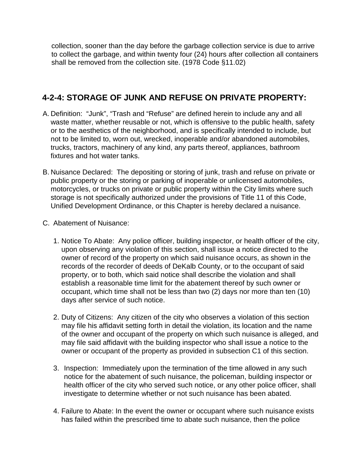collection, sooner than the day before the garbage collection service is due to arrive to collect the garbage, and within twenty four (24) hours after collection all containers shall be removed from the collection site. (1978 Code §11.02)

## **4-2-4: STORAGE OF JUNK AND REFUSE ON PRIVATE PROPERTY:**

- A. Definition: "Junk", "Trash and "Refuse" are defined herein to include any and all waste matter, whether reusable or not, which is offensive to the public health, safety or to the aesthetics of the neighborhood, and is specifically intended to include, but not to be limited to, worn out, wrecked, inoperable and/or abandoned automobiles, trucks, tractors, machinery of any kind, any parts thereof, appliances, bathroom fixtures and hot water tanks.
- B. Nuisance Declared: The depositing or storing of junk, trash and refuse on private or public property or the storing or parking of inoperable or unlicensed automobiles, motorcycles, or trucks on private or public property within the City limits where such storage is not specifically authorized under the provisions of Title 11 of this Code, Unified Development Ordinance, or this Chapter is hereby declared a nuisance.
- C. Abatement of Nuisance:
	- 1. Notice To Abate: Any police officer, building inspector, or health officer of the city, upon observing any violation of this section, shall issue a notice directed to the owner of record of the property on which said nuisance occurs, as shown in the records of the recorder of deeds of DeKalb County, or to the occupant of said property, or to both, which said notice shall describe the violation and shall establish a reasonable time limit for the abatement thereof by such owner or occupant, which time shall not be less than two (2) days nor more than ten (10) days after service of such notice.
	- 2. Duty of Citizens: Any citizen of the city who observes a violation of this section may file his affidavit setting forth in detail the violation, its location and the name of the owner and occupant of the property on which such nuisance is alleged, and may file said affidavit with the building inspector who shall issue a notice to the owner or occupant of the property as provided in subsection C1 of this section.
	- 3. Inspection: Immediately upon the termination of the time allowed in any such notice for the abatement of such nuisance, the policeman, building inspector or health officer of the city who served such notice, or any other police officer, shall investigate to determine whether or not such nuisance has been abated.
	- 4. Failure to Abate: In the event the owner or occupant where such nuisance exists has failed within the prescribed time to abate such nuisance, then the police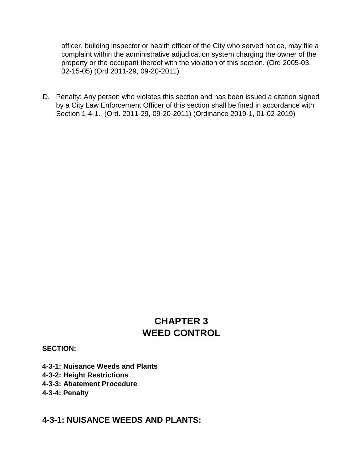officer, building inspector or health officer of the City who served notice, may file a complaint within the administrative adjudication system charging the owner of the property or the occupant thereof with the violation of this section. (Ord 2005-03, 02-15-05) (Ord 2011-29, 09-20-2011)

D. Penalty: Any person who violates this section and has been issued a citation signed by a City Law Enforcement Officer of this section shall be fined in accordance with Section 1-4-1. (Ord. 2011-29, 09-20-2011) (Ordinance 2019-1, 01-02-2019)

# **CHAPTER 3 WEED CONTROL**

#### **SECTION:**

- **4-3-1: Nuisance Weeds and Plants**
- **4-3-2: Height Restrictions**
- **4-3-3: Abatement Procedure**
- **4-3-4: Penalty**

### **4-3-1: NUISANCE WEEDS AND PLANTS:**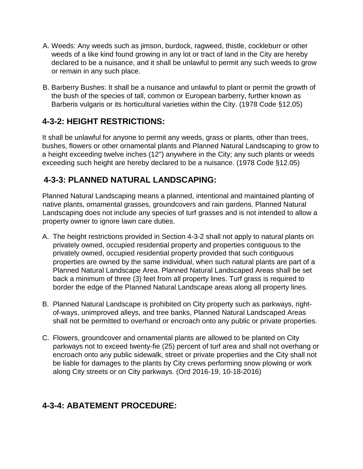- A. Weeds: Any weeds such as jimson, burdock, ragweed, thistle, cockleburr or other weeds of a like kind found growing in any lot or tract of land in the City are hereby declared to be a nuisance, and it shall be unlawful to permit any such weeds to grow or remain in any such place.
- B. Barberry Bushes: It shall be a nuisance and unlawful to plant or permit the growth of the bush of the species of tall, common or European barberry, further known as Barberis vulgaris or its horticultural varieties within the City. (1978 Code §12.05)

# **4-3-2: HEIGHT RESTRICTIONS:**

It shall be unlawful for anyone to permit any weeds, grass or plants, other than trees, bushes, flowers or other ornamental plants and Planned Natural Landscaping to grow to a height exceeding twelve inches (12") anywhere in the City; any such plants or weeds exceeding such height are hereby declared to be a nuisance. (1978 Code §12.05)

# **4-3-3: PLANNED NATURAL LANDSCAPING:**

Planned Natural Landscaping means a planned, intentional and maintained planting of native plants, ornamental grasses, groundcovers and rain gardens. Planned Natural Landscaping does not include any species of turf grasses and is not intended to allow a property owner to ignore lawn care duties.

- A. The height restrictions provided in Section 4-3-2 shall not apply to natural plants on privately owned, occupied residential property and properties contiguous to the privately owned, occupied residential property provided that such contiguous properties are owned by the same individual, when such natural plants are part of a Planned Natural Landscape Area. Planned Natural Landscaped Areas shall be set back a minimum of three (3) feet from all property lines. Turf grass is required to border the edge of the Planned Natural Landscape areas along all property lines.
- B. Planned Natural Landscape is prohibited on City property such as parkways, rightof-ways, unimproved alleys, and tree banks, Planned Natural Landscaped Areas shall not be permitted to overhand or encroach onto any public or private properties.
- C. Flowers, groundcover and ornamental plants are allowed to be planted on City parkways not to exceed twenty-fie (25) percent of turf area and shall not overhang or encroach onto any public sidewalk, street or private properties and the City shall not be liable for damages to the plants by City crews performing snow plowing or work along City streets or on City parkways. (Ord 2016-19, 10-18-2016)

## **4-3-4: ABATEMENT PROCEDURE:**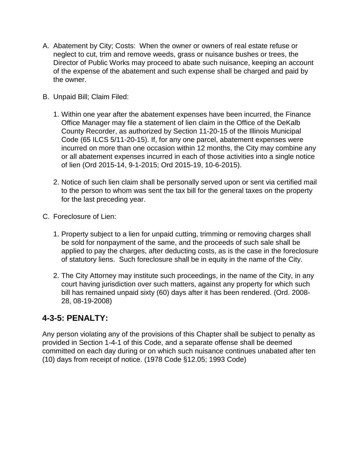- A. Abatement by City; Costs: When the owner or owners of real estate refuse or neglect to cut, trim and remove weeds, grass or nuisance bushes or trees, the Director of Public Works may proceed to abate such nuisance, keeping an account of the expense of the abatement and such expense shall be charged and paid by the owner.
- B. Unpaid Bill; Claim Filed:
	- 1. Within one year after the abatement expenses have been incurred, the Finance Office Manager may file a statement of lien claim in the Office of the DeKalb County Recorder, as authorized by Section 11-20-15 of the Illinois Municipal Code (65 ILCS 5/11-20-15). If, for any one parcel, abatement expenses were incurred on more than one occasion within 12 months, the City may combine any or all abatement expenses incurred in each of those activities into a single notice of lien (Ord 2015-14, 9-1-2015; Ord 2015-19, 10-6-2015).
	- 2. Notice of such lien claim shall be personally served upon or sent via certified mail to the person to whom was sent the tax bill for the general taxes on the property for the last preceding year.
- C. Foreclosure of Lien:
	- 1. Property subject to a lien for unpaid cutting, trimming or removing charges shall be sold for nonpayment of the same, and the proceeds of such sale shall be applied to pay the charges, after deducting costs, as is the case in the foreclosure of statutory liens. Such foreclosure shall be in equity in the name of the City.
	- 2. The City Attorney may institute such proceedings, in the name of the City, in any court having jurisdiction over such matters, against any property for which such bill has remained unpaid sixty (60) days after it has been rendered. (Ord. 2008- 28, 08-19-2008)

## **4-3-5: PENALTY:**

Any person violating any of the provisions of this Chapter shall be subject to penalty as provided in Secti[on 1-4-1 of](http://www.sterlingcodifiers.com/IL/Genoa/04004000000001000.htm#1-4-1) this Code, and a separate offense shall be deemed committed on each day during or on which such nuisance continues unabated after ten (10) days from receipt of notice. (1978 Code §12.05; 1993 Code)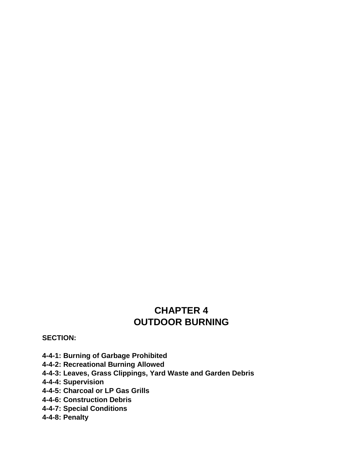# **CHAPTER 4 OUTDOOR BURNING**

**SECTION:** 

- **4-4-1: Burning of Garbage Prohibited**
- **4-4-2: Recreational Burning Allowed**
- **4-4-3: Leaves, Grass Clippings, Yard Waste and Garden Debris**
- **4-4-4: Supervision**
- **4-4-5: Charcoal or LP Gas Grills**
- **4-4-6: Construction Debris**
- **4-4-7: Special Conditions**
- **4-4-8: Penalty**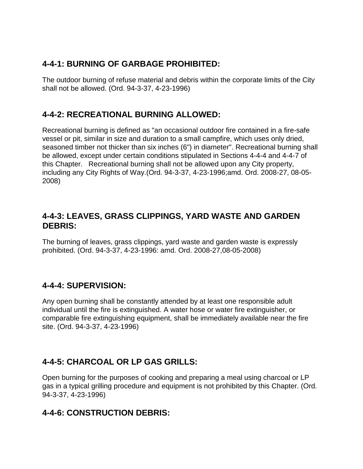## **4-4-1: BURNING OF GARBAGE PROHIBITED:**

The outdoor burning of refuse material and debris within the corporate limits of the City shall not be allowed. (Ord. 94-3-37, 4-23-1996)

## **4-4-2: RECREATIONAL BURNING ALLOWED:**

Recreational burning is defined as "an occasional outdoor fire contained in a fire-safe vessel or pit, similar in size and duration to a small campfire, which uses only dried, seasoned timber not thicker than six inches (6") in diameter". Recreational burning shall be allowed, except under certain conditions stipulated in Sectio[ns 4-4-4 an](http://www.sterlingcodifiers.com/IL/Genoa/07004000000004000.htm#4-4-4)[d 4-4-7 of](http://www.sterlingcodifiers.com/IL/Genoa/07004000000007000.htm#4-4-7) this Chapter. Recreational burning shall not be allowed upon any City property, including any City Rights of Way.(Ord. 94-3-37, 4-23-1996;amd. Ord. 2008-27, 08-05- 2008)

### **4-4-3: LEAVES, GRASS CLIPPINGS, YARD WASTE AND GARDEN DEBRIS:**

The burning of leaves, grass clippings, yard waste and garden waste is expressly prohibited. (Ord. 94-3-37, 4-23-1996: amd. Ord. 2008-27,08-05-2008)

## **4-4-4: SUPERVISION:**

Any open burning shall be constantly attended by at least one responsible adult individual until the fire is extinguished. A water hose or water fire extinguisher, or comparable fire extinguishing equipment, shall be immediately available near the fire site. (Ord. 94-3-37, 4-23-1996)

## **4-4-5: CHARCOAL OR LP GAS GRILLS:**

Open burning for the purposes of cooking and preparing a meal using charcoal or LP gas in a typical grilling procedure and equipment is not prohibited by this Chapter. (Ord. 94-3-37, 4-23-1996)

## **4-4-6: CONSTRUCTION DEBRIS:**